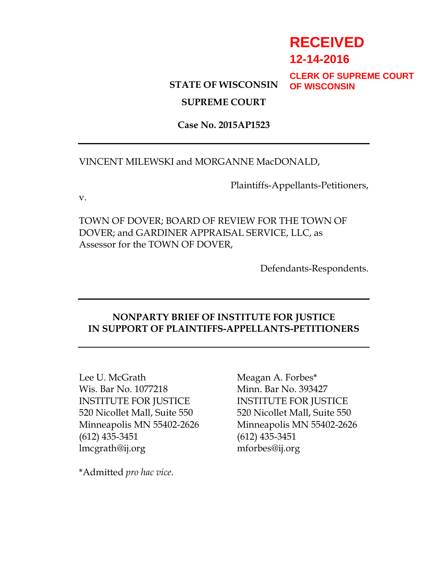# **RECEIVED**

**12-14-2016**

# **STATE OF WISCONSIN**

**CLERK OF SUPREME COURT OF WISCONSIN**

# **SUPREME COURT**

### **Case No. 2015AP1523**

#### VINCENT MILEWSKI and MORGANNE MacDONALD,

Plaintiffs-Appellants-Petitioners,

v.

TOWN OF DOVER; BOARD OF REVIEW FOR THE TOWN OF DOVER; and GARDINER APPRAISAL SERVICE, LLC, as Assessor for the TOWN OF DOVER,

Defendants-Respondents.

# **NONPARTY BRIEF OF INSTITUTE FOR JUSTICE IN SUPPORT OF PLAINTIFFS-APPELLANTS-PETITIONERS**

Lee U. McGrath Meagan A. Forbes<sup>\*</sup> Wis. Bar No. 1077218 Minn. Bar No. 393427 INSTITUTE FOR JUSTICE INSTITUTE FOR JUSTICE 520 Nicollet Mall, Suite 550 520 Nicollet Mall, Suite 550 Minneapolis MN 55402-2626 Minneapolis MN 55402-2626 (612) 435-3451 (612) 435-3451 lmcgrath@ij.org mforbes@ij.org

\*Admitted *pro hac vice*.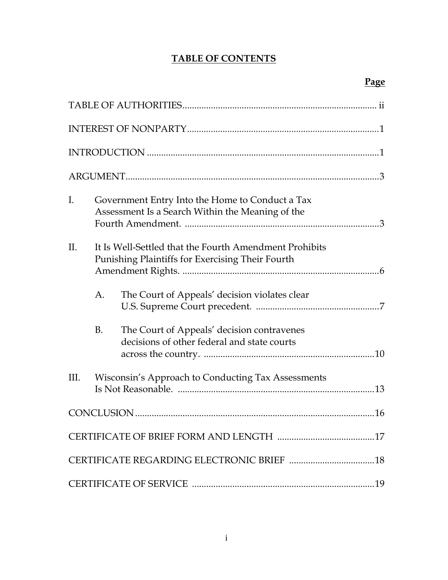# **TABLE OF CONTENTS**

| Ι.   |                                                                                                            | Government Entry Into the Home to Conduct a Tax<br>Assessment Is a Search Within the Meaning of the |  |
|------|------------------------------------------------------------------------------------------------------------|-----------------------------------------------------------------------------------------------------|--|
| II.  | It Is Well-Settled that the Fourth Amendment Prohibits<br>Punishing Plaintiffs for Exercising Their Fourth |                                                                                                     |  |
|      | A.                                                                                                         | The Court of Appeals' decision violates clear                                                       |  |
|      | <b>B.</b>                                                                                                  | The Court of Appeals' decision contravenes<br>decisions of other federal and state courts           |  |
| III. |                                                                                                            | Wisconsin's Approach to Conducting Tax Assessments                                                  |  |
|      |                                                                                                            |                                                                                                     |  |
|      |                                                                                                            |                                                                                                     |  |
|      |                                                                                                            |                                                                                                     |  |
|      |                                                                                                            |                                                                                                     |  |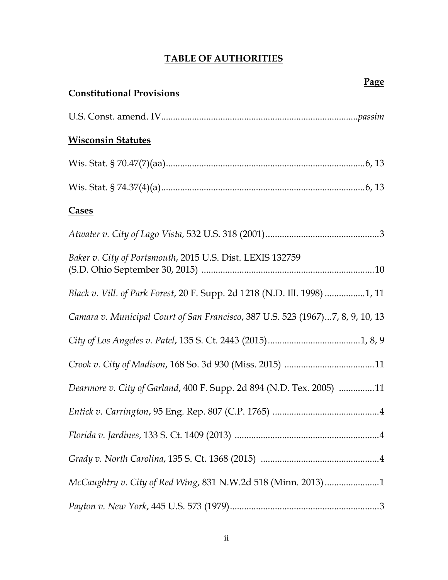# **TABLE OF AUTHORITIES**

| <u>- 452 </u><br><b>Constitutional Provisions</b>                              |
|--------------------------------------------------------------------------------|
|                                                                                |
| <b>Wisconsin Statutes</b>                                                      |
|                                                                                |
|                                                                                |
| Cases                                                                          |
|                                                                                |
| Baker v. City of Portsmouth, 2015 U.S. Dist. LEXIS 132759                      |
| Black v. Vill. of Park Forest, 20 F. Supp. 2d 1218 (N.D. Ill. 1998) 1, 11      |
| Camara v. Municipal Court of San Francisco, 387 U.S. 523 (1967)7, 8, 9, 10, 13 |
|                                                                                |
|                                                                                |
| Dearmore v. City of Garland, 400 F. Supp. 2d 894 (N.D. Tex. 2005) 11           |
|                                                                                |
|                                                                                |
|                                                                                |
| McCaughtry v. City of Red Wing, 831 N.W.2d 518 (Minn. 2013) 1                  |
|                                                                                |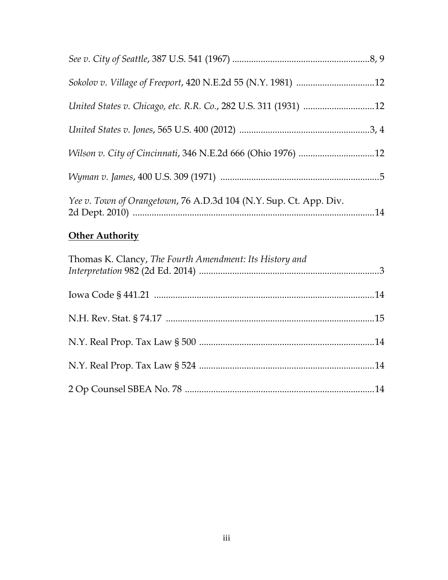| United States v. Chicago, etc. R.R. Co., 282 U.S. 311 (1931) 12   |  |
|-------------------------------------------------------------------|--|
|                                                                   |  |
| Wilson v. City of Cincinnati, 346 N.E.2d 666 (Ohio 1976) 12       |  |
|                                                                   |  |
| Yee v. Town of Orangetown, 76 A.D.3d 104 (N.Y. Sup. Ct. App. Div. |  |

# **Other Authority**

| Thomas K. Clancy, The Fourth Amendment: Its History and |  |
|---------------------------------------------------------|--|
|                                                         |  |
|                                                         |  |
|                                                         |  |
|                                                         |  |
|                                                         |  |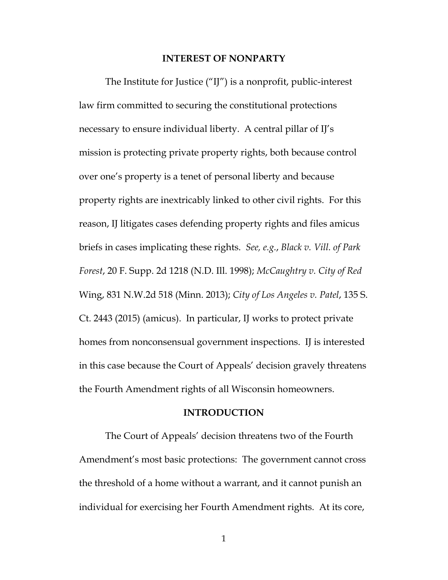#### **INTEREST OF NONPARTY**

The Institute for Justice ("IJ") is a nonprofit, public-interest law firm committed to securing the constitutional protections necessary to ensure individual liberty. A central pillar of IJ's mission is protecting private property rights, both because control over one's property is a tenet of personal liberty and because property rights are inextricably linked to other civil rights. For this reason, IJ litigates cases defending property rights and files amicus briefs in cases implicating these rights. *See, e.g.*, *Black v. Vill. of Park Forest*, 20 F. Supp. 2d 1218 (N.D. Ill. 1998); *McCaughtry v. City of Red*  Wing, 831 N.W.2d 518 (Minn. 2013); *City of Los Angeles v. Patel*, 135 S. Ct. 2443 (2015) (amicus). In particular, IJ works to protect private homes from nonconsensual government inspections. If is interested in this case because the Court of Appeals' decision gravely threatens the Fourth Amendment rights of all Wisconsin homeowners.

#### **INTRODUCTION**

The Court of Appeals' decision threatens two of the Fourth Amendment's most basic protections: The government cannot cross the threshold of a home without a warrant, and it cannot punish an individual for exercising her Fourth Amendment rights. At its core,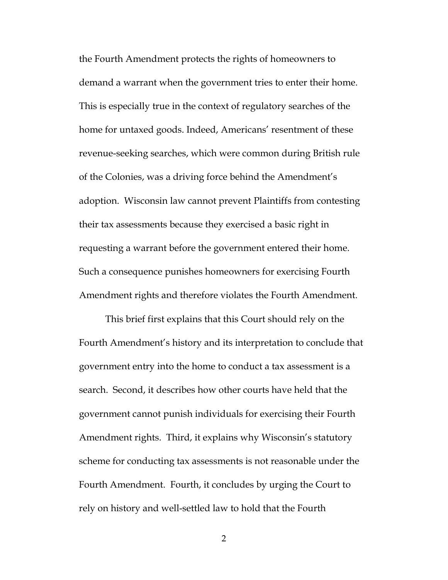the Fourth Amendment protects the rights of homeowners to demand a warrant when the government tries to enter their home. This is especially true in the context of regulatory searches of the home for untaxed goods. Indeed, Americans' resentment of these revenue-seeking searches, which were common during British rule of the Colonies, was a driving force behind the Amendment's adoption. Wisconsin law cannot prevent Plaintiffs from contesting their tax assessments because they exercised a basic right in requesting a warrant before the government entered their home. Such a consequence punishes homeowners for exercising Fourth Amendment rights and therefore violates the Fourth Amendment.

This brief first explains that this Court should rely on the Fourth Amendment's history and its interpretation to conclude that government entry into the home to conduct a tax assessment is a search. Second, it describes how other courts have held that the government cannot punish individuals for exercising their Fourth Amendment rights. Third, it explains why Wisconsin's statutory scheme for conducting tax assessments is not reasonable under the Fourth Amendment. Fourth, it concludes by urging the Court to rely on history and well-settled law to hold that the Fourth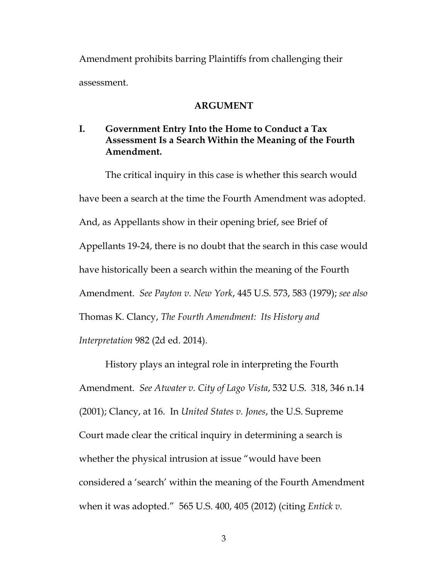Amendment prohibits barring Plaintiffs from challenging their assessment.

#### **ARGUMENT**

# **I. Government Entry Into the Home to Conduct a Tax Assessment Is a Search Within the Meaning of the Fourth Amendment.**

The critical inquiry in this case is whether this search would have been a search at the time the Fourth Amendment was adopted. And, as Appellants show in their opening brief, see Brief of Appellants 19-24, there is no doubt that the search in this case would have historically been a search within the meaning of the Fourth Amendment. *See Payton v. New York*, 445 U.S. 573, 583 (1979); *see also*  Thomas K. Clancy, *The Fourth Amendment: Its History and Interpretation* 982 (2d ed. 2014).

History plays an integral role in interpreting the Fourth Amendment. *See Atwater v. City of Lago Vista*, 532 U.S. 318, 346 n.14 (2001); Clancy, at 16. In *United States v. Jones*, the U.S. Supreme Court made clear the critical inquiry in determining a search is whether the physical intrusion at issue "would have been considered a 'search' within the meaning of the Fourth Amendment when it was adopted." 565 U.S. 400, 405 (2012) (citing *Entick v.*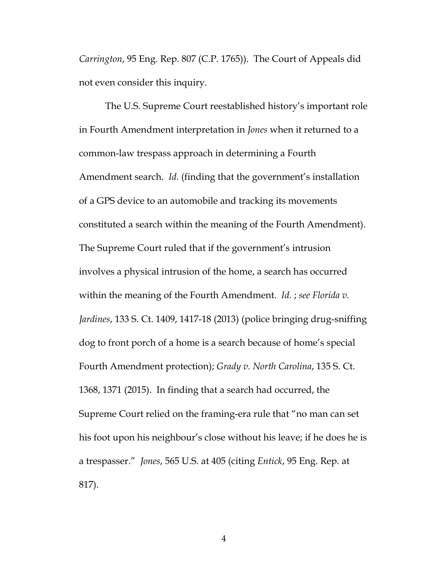*Carrington*, 95 Eng. Rep. 807 (C.P. 1765)). The Court of Appeals did not even consider this inquiry.

The U.S. Supreme Court reestablished history's important role in Fourth Amendment interpretation in *Jones* when it returned to a common-law trespass approach in determining a Fourth Amendment search. *Id.* (finding that the government's installation of a GPS device to an automobile and tracking its movements constituted a search within the meaning of the Fourth Amendment). The Supreme Court ruled that if the government's intrusion involves a physical intrusion of the home, a search has occurred within the meaning of the Fourth Amendment. *Id.* ; *see Florida v. Jardines*, 133 S. Ct. 1409, 1417-18 (2013) (police bringing drug-sniffing dog to front porch of a home is a search because of home's special Fourth Amendment protection); *Grady v. North Carolina*, 135 S. Ct. 1368, 1371 (2015). In finding that a search had occurred, the Supreme Court relied on the framing-era rule that "no man can set his foot upon his neighbour's close without his leave; if he does he is a trespasser." *Jones*, 565 U.S. at 405 (citing *Entick*, 95 Eng. Rep. at 817).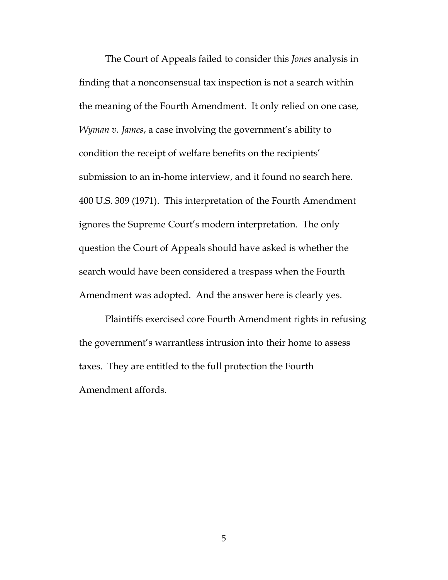The Court of Appeals failed to consider this *Jones* analysis in finding that a nonconsensual tax inspection is not a search within the meaning of the Fourth Amendment. It only relied on one case, *Wyman v. James*, a case involving the government's ability to condition the receipt of welfare benefits on the recipients' submission to an in-home interview, and it found no search here. 400 U.S. 309 (1971). This interpretation of the Fourth Amendment ignores the Supreme Court's modern interpretation. The only question the Court of Appeals should have asked is whether the search would have been considered a trespass when the Fourth Amendment was adopted. And the answer here is clearly yes.

Plaintiffs exercised core Fourth Amendment rights in refusing the government's warrantless intrusion into their home to assess taxes. They are entitled to the full protection the Fourth Amendment affords.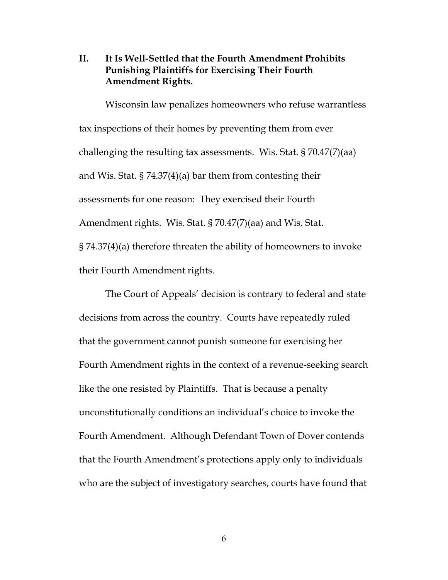# **II. It Is Well-Settled that the Fourth Amendment Prohibits Punishing Plaintiffs for Exercising Their Fourth Amendment Rights.**

Wisconsin law penalizes homeowners who refuse warrantless tax inspections of their homes by preventing them from ever challenging the resulting tax assessments. Wis. Stat. § 70.47(7)(aa) and Wis. Stat. § 74.37(4)(a) bar them from contesting their assessments for one reason: They exercised their Fourth Amendment rights. Wis. Stat. § 70.47(7)(aa) and Wis. Stat. § 74.37(4)(a) therefore threaten the ability of homeowners to invoke their Fourth Amendment rights.

The Court of Appeals' decision is contrary to federal and state decisions from across the country. Courts have repeatedly ruled that the government cannot punish someone for exercising her Fourth Amendment rights in the context of a revenue-seeking search like the one resisted by Plaintiffs. That is because a penalty unconstitutionally conditions an individual's choice to invoke the Fourth Amendment. Although Defendant Town of Dover contends that the Fourth Amendment's protections apply only to individuals who are the subject of investigatory searches, courts have found that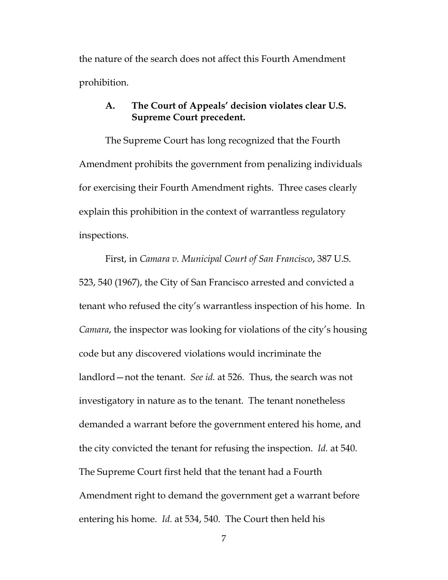the nature of the search does not affect this Fourth Amendment prohibition.

# **A. The Court of Appeals' decision violates clear U.S. Supreme Court precedent.**

The Supreme Court has long recognized that the Fourth Amendment prohibits the government from penalizing individuals for exercising their Fourth Amendment rights. Three cases clearly explain this prohibition in the context of warrantless regulatory inspections.

First, in *Camara v. Municipal Court of San Francisco*, 387 U.S. 523, 540 (1967), the City of San Francisco arrested and convicted a tenant who refused the city's warrantless inspection of his home. In *Camara*, the inspector was looking for violations of the city's housing code but any discovered violations would incriminate the landlord—not the tenant. *See id.* at 526. Thus, the search was not investigatory in nature as to the tenant. The tenant nonetheless demanded a warrant before the government entered his home, and the city convicted the tenant for refusing the inspection. *Id.* at 540. The Supreme Court first held that the tenant had a Fourth Amendment right to demand the government get a warrant before entering his home. *Id.* at 534, 540. The Court then held his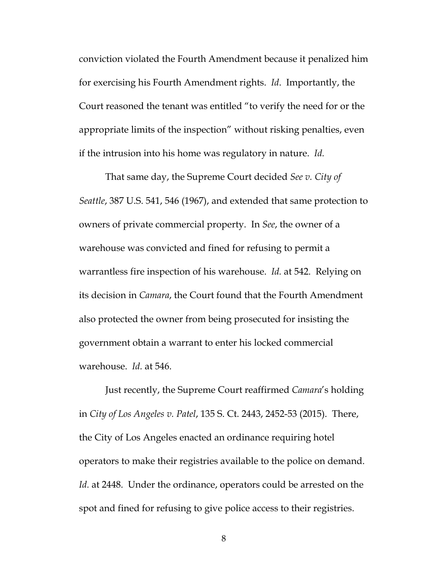conviction violated the Fourth Amendment because it penalized him for exercising his Fourth Amendment rights. *Id*. Importantly, the Court reasoned the tenant was entitled "to verify the need for or the appropriate limits of the inspection" without risking penalties, even if the intrusion into his home was regulatory in nature. *Id.* 

That same day, the Supreme Court decided *See v. City of Seattle*, 387 U.S. 541, 546 (1967), and extended that same protection to owners of private commercial property. In *See*, the owner of a warehouse was convicted and fined for refusing to permit a warrantless fire inspection of his warehouse. *Id.* at 542. Relying on its decision in *Camara*, the Court found that the Fourth Amendment also protected the owner from being prosecuted for insisting the government obtain a warrant to enter his locked commercial warehouse. *Id.* at 546.

Just recently, the Supreme Court reaffirmed *Camara*'s holding in *City of Los Angeles v. Patel*, 135 S. Ct. 2443, 2452-53 (2015). There, the City of Los Angeles enacted an ordinance requiring hotel operators to make their registries available to the police on demand. Id. at 2448. Under the ordinance, operators could be arrested on the spot and fined for refusing to give police access to their registries.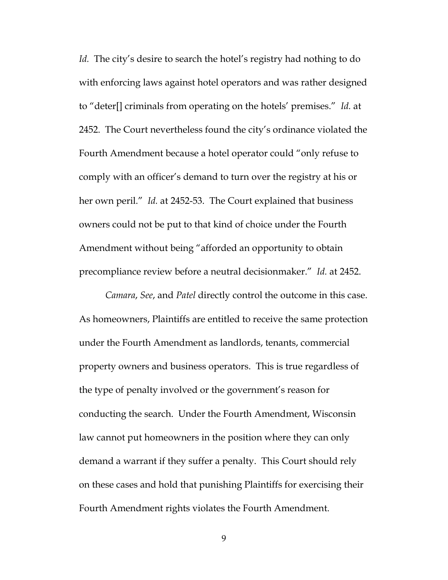*Id.* The city's desire to search the hotel's registry had nothing to do with enforcing laws against hotel operators and was rather designed to "deter[] criminals from operating on the hotels' premises." *Id.* at 2452. The Court nevertheless found the city's ordinance violated the Fourth Amendment because a hotel operator could "only refuse to comply with an officer's demand to turn over the registry at his or her own peril." *Id.* at 2452-53. The Court explained that business owners could not be put to that kind of choice under the Fourth Amendment without being "afforded an opportunity to obtain precompliance review before a neutral decisionmaker." *Id.* at 2452.

*Camara*, *See*, and *Patel* directly control the outcome in this case. As homeowners, Plaintiffs are entitled to receive the same protection under the Fourth Amendment as landlords, tenants, commercial property owners and business operators. This is true regardless of the type of penalty involved or the government's reason for conducting the search. Under the Fourth Amendment, Wisconsin law cannot put homeowners in the position where they can only demand a warrant if they suffer a penalty. This Court should rely on these cases and hold that punishing Plaintiffs for exercising their Fourth Amendment rights violates the Fourth Amendment.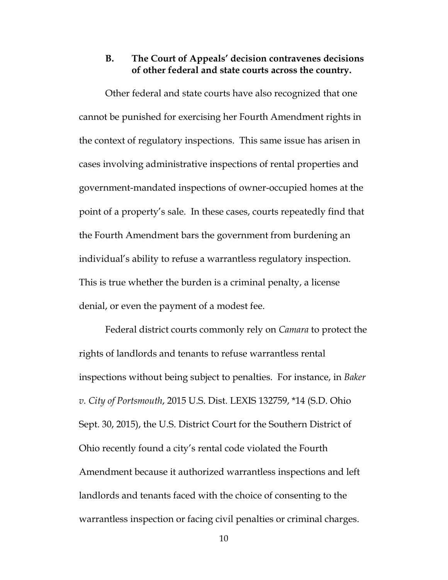# **B. The Court of Appeals' decision contravenes decisions of other federal and state courts across the country.**

Other federal and state courts have also recognized that one cannot be punished for exercising her Fourth Amendment rights in the context of regulatory inspections. This same issue has arisen in cases involving administrative inspections of rental properties and government-mandated inspections of owner-occupied homes at the point of a property's sale. In these cases, courts repeatedly find that the Fourth Amendment bars the government from burdening an individual's ability to refuse a warrantless regulatory inspection. This is true whether the burden is a criminal penalty, a license denial, or even the payment of a modest fee.

Federal district courts commonly rely on *Camara* to protect the rights of landlords and tenants to refuse warrantless rental inspections without being subject to penalties. For instance, in *Baker v. City of Portsmouth*, 2015 U.S. Dist. LEXIS 132759, \*14 (S.D. Ohio Sept. 30, 2015), the U.S. District Court for the Southern District of Ohio recently found a city's rental code violated the Fourth Amendment because it authorized warrantless inspections and left landlords and tenants faced with the choice of consenting to the warrantless inspection or facing civil penalties or criminal charges.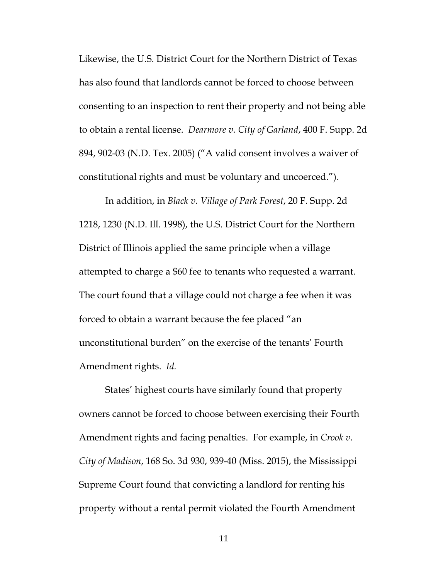Likewise, the U.S. District Court for the Northern District of Texas has also found that landlords cannot be forced to choose between consenting to an inspection to rent their property and not being able to obtain a rental license. *Dearmore v. City of Garland*, 400 F. Supp. 2d 894, 902-03 (N.D. Tex. 2005) ("A valid consent involves a waiver of constitutional rights and must be voluntary and uncoerced.").

In addition, in *Black v. Village of Park Forest*, 20 F. Supp. 2d 1218, 1230 (N.D. Ill. 1998), the U.S. District Court for the Northern District of Illinois applied the same principle when a village attempted to charge a \$60 fee to tenants who requested a warrant. The court found that a village could not charge a fee when it was forced to obtain a warrant because the fee placed "an unconstitutional burden" on the exercise of the tenants' Fourth Amendment rights. *Id.* 

States' highest courts have similarly found that property owners cannot be forced to choose between exercising their Fourth Amendment rights and facing penalties. For example, in *Crook v. City of Madison*, 168 So. 3d 930, 939-40 (Miss. 2015), the Mississippi Supreme Court found that convicting a landlord for renting his property without a rental permit violated the Fourth Amendment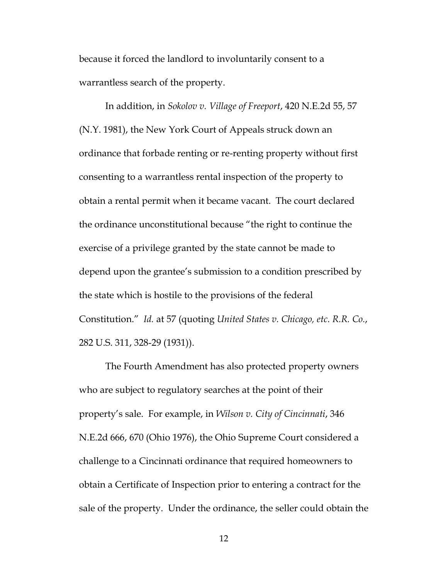because it forced the landlord to involuntarily consent to a warrantless search of the property.

In addition, in *Sokolov v. Village of Freeport*, 420 N.E.2d 55, 57 (N.Y. 1981), the New York Court of Appeals struck down an ordinance that forbade renting or re-renting property without first consenting to a warrantless rental inspection of the property to obtain a rental permit when it became vacant. The court declared the ordinance unconstitutional because "the right to continue the exercise of a privilege granted by the state cannot be made to depend upon the grantee's submission to a condition prescribed by the state which is hostile to the provisions of the federal Constitution." *Id.* at 57 (quoting *United States v. Chicago, etc. R.R. Co.*, 282 U.S. 311, 328-29 (1931)).

The Fourth Amendment has also protected property owners who are subject to regulatory searches at the point of their property's sale. For example, in *Wilson v. City of Cincinnati*, 346 N.E.2d 666, 670 (Ohio 1976), the Ohio Supreme Court considered a challenge to a Cincinnati ordinance that required homeowners to obtain a Certificate of Inspection prior to entering a contract for the sale of the property. Under the ordinance, the seller could obtain the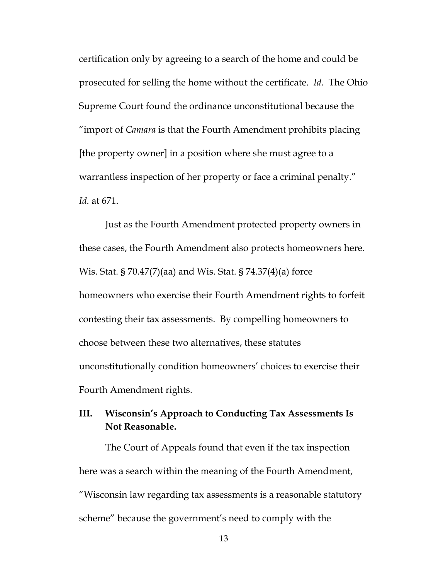certification only by agreeing to a search of the home and could be prosecuted for selling the home without the certificate. *Id.* The Ohio Supreme Court found the ordinance unconstitutional because the "import of *Camara* is that the Fourth Amendment prohibits placing [the property owner] in a position where she must agree to a warrantless inspection of her property or face a criminal penalty." *Id.* at 671.

Just as the Fourth Amendment protected property owners in these cases, the Fourth Amendment also protects homeowners here. Wis. Stat. § 70.47(7)(aa) and Wis. Stat. § 74.37(4)(a) force homeowners who exercise their Fourth Amendment rights to forfeit contesting their tax assessments. By compelling homeowners to choose between these two alternatives, these statutes unconstitutionally condition homeowners' choices to exercise their Fourth Amendment rights.

# **III. Wisconsin's Approach to Conducting Tax Assessments Is Not Reasonable.**

The Court of Appeals found that even if the tax inspection here was a search within the meaning of the Fourth Amendment, "Wisconsin law regarding tax assessments is a reasonable statutory scheme" because the government's need to comply with the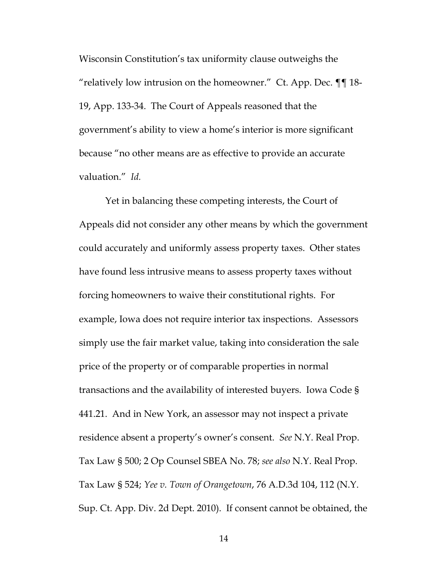Wisconsin Constitution's tax uniformity clause outweighs the "relatively low intrusion on the homeowner." Ct. App. Dec.  $\P\P$  18-19, App. 133-34. The Court of Appeals reasoned that the government's ability to view a home's interior is more significant because "no other means are as effective to provide an accurate valuation." *Id.* 

Yet in balancing these competing interests, the Court of Appeals did not consider any other means by which the government could accurately and uniformly assess property taxes. Other states have found less intrusive means to assess property taxes without forcing homeowners to waive their constitutional rights. For example, Iowa does not require interior tax inspections. Assessors simply use the fair market value, taking into consideration the sale price of the property or of comparable properties in normal transactions and the availability of interested buyers. Iowa Code § 441.21. And in New York, an assessor may not inspect a private residence absent a property's owner's consent. *See* N.Y. Real Prop. Tax Law § 500; 2 Op Counsel SBEA No. 78; *see also* N.Y. Real Prop. Tax Law § 524; *Yee v. Town of Orangetown*, 76 A.D.3d 104, 112 (N.Y. Sup. Ct. App. Div. 2d Dept. 2010). If consent cannot be obtained, the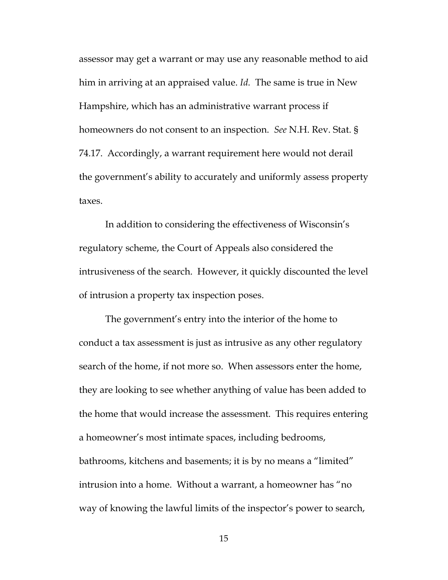assessor may get a warrant or may use any reasonable method to aid him in arriving at an appraised value. *Id.* The same is true in New Hampshire, which has an administrative warrant process if homeowners do not consent to an inspection. *See* N.H. Rev. Stat. § 74.17. Accordingly, a warrant requirement here would not derail the government's ability to accurately and uniformly assess property taxes.

In addition to considering the effectiveness of Wisconsin's regulatory scheme, the Court of Appeals also considered the intrusiveness of the search. However, it quickly discounted the level of intrusion a property tax inspection poses.

The government's entry into the interior of the home to conduct a tax assessment is just as intrusive as any other regulatory search of the home, if not more so. When assessors enter the home, they are looking to see whether anything of value has been added to the home that would increase the assessment. This requires entering a homeowner's most intimate spaces, including bedrooms, bathrooms, kitchens and basements; it is by no means a "limited" intrusion into a home. Without a warrant, a homeowner has "no way of knowing the lawful limits of the inspector's power to search,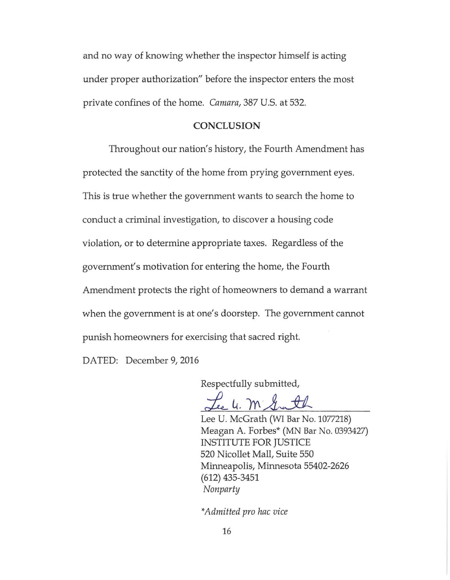and no way of knowing whether the inspector himself is acting under proper authorization" before the inspector enters the most private confines of the home. *Camara,* 387 U.S. at 532.

#### **CONCLUSION**

Throughout our nation's history, the Fourth Amendment has protected the sanctity of the home from prying government eyes. This is true whether the government wants to search the home to conduct a criminal investigation, to discover a housing code violation, or to determine appropriate taxes. Regardless of the government's motivation for entering the home, the Fourth Amendment protects the right of homeowners to demand a warrant when the government is at one's doorstep. The government cannot punish homeowners for exercising that sacred right.

DATED: December 9, 2016

Respectfully submitted,

Lee U. McGrath (WI Bar No. 1077218) Meagan A. Forbes\* (MN Bar No. 0393427) INSTITUTE FOR JUSTICE 520 Nicollet Mall, Suite 550 Minneapolis, Minnesota 55402-2626 (612) 435-3451 *Nonparty* 

*\*Admitted pro hac vice*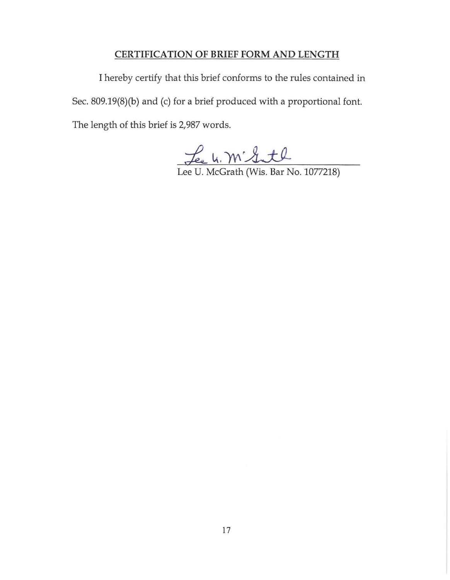# **CERTIFICATION OF BRIEF FORM AND LENGTH**

I hereby certify that this brief conforms to the rules contained in Sec. 809.19(8)(b) and (c) for a brief produced with a proportional font. The length of this brief is 2,987 words.

Lee U. M' Gutl<br>Lee U. McGrath (Wis. Bar No. 1077218)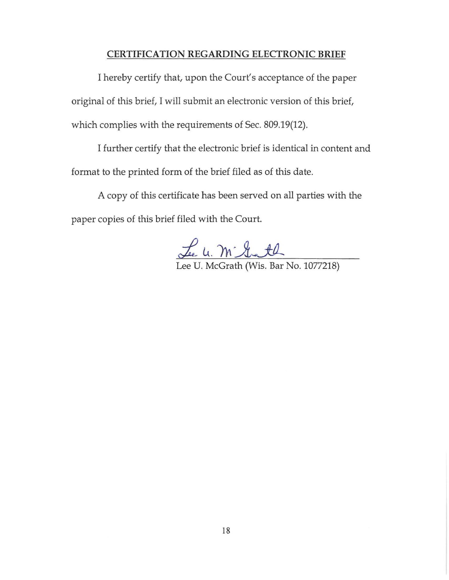#### **CERTIFICATION REGARDING ELECTRONIC BRIEF**

I hereby certify that, upon the Court's acceptance of the paper original of this brief, I will submit an electronic version of this brief, which complies with the requirements of Sec. 809.19(12).

I further certify that the electronic brief is identical in content and format to the printed form of the brief filed as of this date.

A copy of this certificate has been served on all parties with the paper copies of this brief filed with the Court.

Lee u. m. Gath

Lee U. McGrath (Wis. Bar No. 1077218)